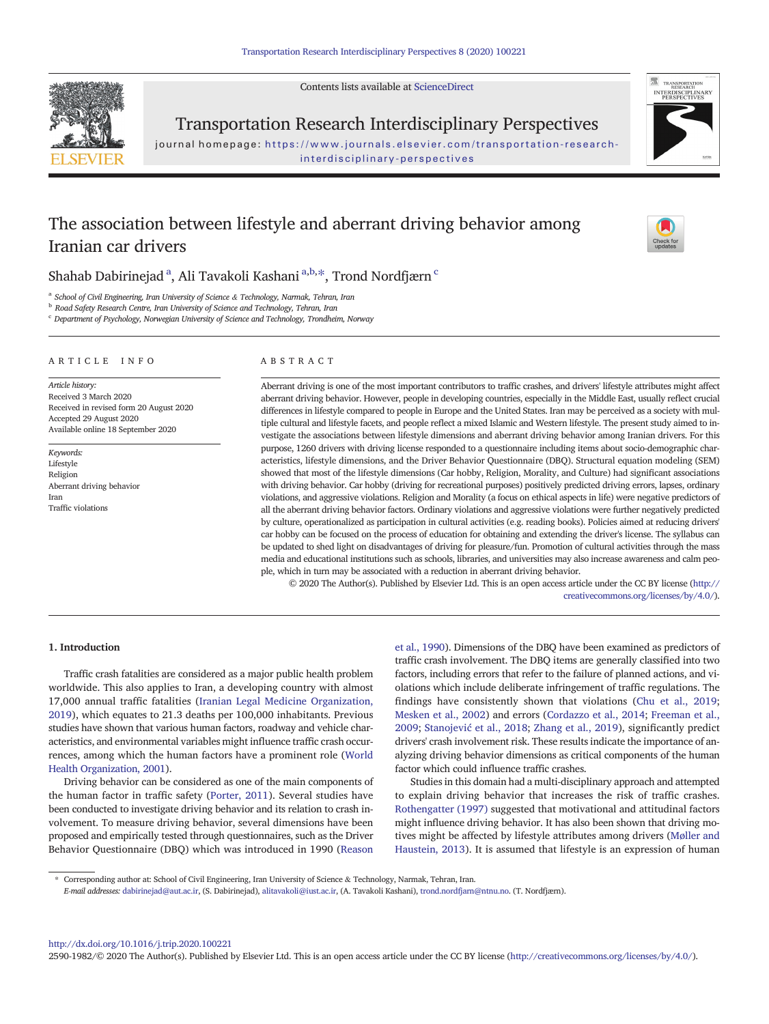Contents lists available at [ScienceDirect](http://www.sciencedirect.com/science/journal/)



Transportation Research Interdisciplinary Perspectives

journal homepage: [https://www.journals.elsevier.com/transportation-research](https://www.journals.elsevier.com/transportation-research-interdisciplinary-perspectives)[interdisciplinary-perspectives](https://www.journals.elsevier.com/transportation-research-interdisciplinary-perspectives)

# The association between lifestyle and aberrant driving behavior among Iranian car drivers



Shahab Dabirinejad $^{\rm a}$ , Ali Tavakoli Kashani $^{\rm a,b, *},$  Trond Nordfjærn $^{\rm c}$ 

<sup>a</sup> School of Civil Engineering, Iran University of Science & Technology, Narmak, Tehran, Iran

**b** Road Safety Research Centre, Iran University of Science and Technology, Tehran, Iran

 $\text{c}$  Department of Psychology, Norwegian University of Science and Technology, Trondheim, Norway

# ARTICLE INFO ABSTRACT

Article history: Received 3 March 2020 Received in revised form 20 August 2020 Accepted 29 August 2020 Available online 18 September 2020

Keywords: Lifestyle Religion Aberrant driving behavior Iran Traffic violations

Aberrant driving is one of the most important contributors to traffic crashes, and drivers' lifestyle attributes might affect aberrant driving behavior. However, people in developing countries, especially in the Middle East, usually reflect crucial differences in lifestyle compared to people in Europe and the United States. Iran may be perceived as a society with multiple cultural and lifestyle facets, and people reflect a mixed Islamic and Western lifestyle. The present study aimed to investigate the associations between lifestyle dimensions and aberrant driving behavior among Iranian drivers. For this purpose, 1260 drivers with driving license responded to a questionnaire including items about socio-demographic characteristics, lifestyle dimensions, and the Driver Behavior Questionnaire (DBQ). Structural equation modeling (SEM) showed that most of the lifestyle dimensions (Car hobby, Religion, Morality, and Culture) had significant associations with driving behavior. Car hobby (driving for recreational purposes) positively predicted driving errors, lapses, ordinary violations, and aggressive violations. Religion and Morality (a focus on ethical aspects in life) were negative predictors of all the aberrant driving behavior factors. Ordinary violations and aggressive violations were further negatively predicted by culture, operationalized as participation in cultural activities (e.g. reading books). Policies aimed at reducing drivers' car hobby can be focused on the process of education for obtaining and extending the driver's license. The syllabus can be updated to shed light on disadvantages of driving for pleasure/fun. Promotion of cultural activities through the mass media and educational institutions such as schools, libraries, and universities may also increase awareness and calm people, which in turn may be associated with a reduction in aberrant driving behavior.

© 2020 The Author(s). Published by Elsevier Ltd. This is an open access article under the CC BY license [\(http://](http://creativecommons.org/licenses/by/4.0/) [creativecommons.org/licenses/by/4.0/](http://creativecommons.org/licenses/by/4.0/)).

### 1. Introduction

Traffic crash fatalities are considered as a major public health problem worldwide. This also applies to Iran, a developing country with almost 17,000 annual traffic fatalities [\(Iranian Legal Medicine Organization,](#page-4-0) [2019\)](#page-4-0), which equates to 21.3 deaths per 100,000 inhabitants. Previous studies have shown that various human factors, roadway and vehicle characteristics, and environmental variables might influence traffic crash occurrences, among which the human factors have a prominent role [\(World](#page-5-0) [Health Organization, 2001](#page-5-0)).

Driving behavior can be considered as one of the main components of the human factor in traffic safety [\(Porter, 2011](#page-4-0)). Several studies have been conducted to investigate driving behavior and its relation to crash involvement. To measure driving behavior, several dimensions have been proposed and empirically tested through questionnaires, such as the Driver Behavior Questionnaire (DBQ) which was introduced in 1990 ([Reason](#page-4-0)

[et al., 1990\)](#page-4-0). Dimensions of the DBQ have been examined as predictors of traffic crash involvement. The DBQ items are generally classified into two factors, including errors that refer to the failure of planned actions, and violations which include deliberate infringement of traffic regulations. The findings have consistently shown that violations [\(Chu et al., 2019;](#page-4-0) [Mesken et al., 2002](#page-4-0)) and errors ([Cordazzo et al., 2014;](#page-4-0) [Freeman et al.,](#page-4-0) [2009](#page-4-0); Stanojević [et al., 2018;](#page-5-0) [Zhang et al., 2019\)](#page-5-0), significantly predict drivers' crash involvement risk. These results indicate the importance of analyzing driving behavior dimensions as critical components of the human factor which could influence traffic crashes.

Studies in this domain had a multi-disciplinary approach and attempted to explain driving behavior that increases the risk of traffic crashes. [Rothengatter \(1997\)](#page-4-0) suggested that motivational and attitudinal factors might influence driving behavior. It has also been shown that driving motives might be affected by lifestyle attributes among drivers ([Møller and](#page-4-0) [Haustein, 2013](#page-4-0)). It is assumed that lifestyle is an expression of human

E-mail addresses: dabirinejad@aut.ac.ir, (S. Dabirinejad), alitavakoli@iust.ac.ir, (A. Tavakoli Kashani), <trond.nordfjarn@ntnu.no>. (T. Nordfjærn).

<http://dx.doi.org/10.1016/j.trip.2020.100221> 2590-1982/© 2020 The Author(s). Published by Elsevier Ltd. This is an open access article under the CC BY license [\(http://creativecommons.org/licenses/by/4.0/](http://creativecommons.org/licenses/by/4.0/)).

<sup>⁎</sup> Corresponding author at: School of Civil Engineering, Iran University of Science & Technology, Narmak, Tehran, Iran.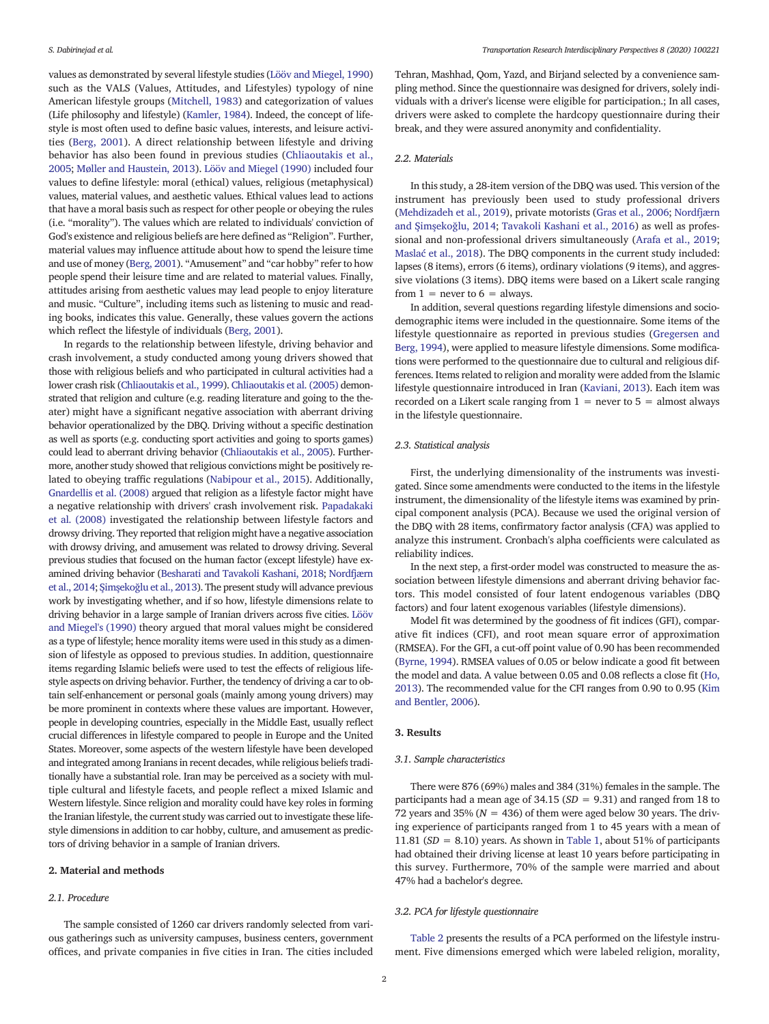values as demonstrated by several lifestyle studies [\(Lööv and Miegel, 1990](#page-4-0)) such as the VALS (Values, Attitudes, and Lifestyles) typology of nine American lifestyle groups ([Mitchell, 1983\)](#page-4-0) and categorization of values (Life philosophy and lifestyle) ([Kamler, 1984\)](#page-4-0). Indeed, the concept of lifestyle is most often used to define basic values, interests, and leisure activities [\(Berg, 2001](#page-4-0)). A direct relationship between lifestyle and driving behavior has also been found in previous studies [\(Chliaoutakis et al.,](#page-4-0) [2005](#page-4-0); [Møller and Haustein, 2013](#page-4-0)). [Lööv and Miegel \(1990\)](#page-4-0) included four values to define lifestyle: moral (ethical) values, religious (metaphysical) values, material values, and aesthetic values. Ethical values lead to actions that have a moral basis such as respect for other people or obeying the rules (i.e. "morality"). The values which are related to individuals' conviction of God's existence and religious beliefs are here defined as "Religion". Further, material values may influence attitude about how to spend the leisure time and use of money [\(Berg, 2001](#page-4-0)). "Amusement" and "car hobby" refer to how people spend their leisure time and are related to material values. Finally, attitudes arising from aesthetic values may lead people to enjoy literature and music. "Culture", including items such as listening to music and reading books, indicates this value. Generally, these values govern the actions which reflect the lifestyle of individuals [\(Berg, 2001](#page-4-0)).

In regards to the relationship between lifestyle, driving behavior and crash involvement, a study conducted among young drivers showed that those with religious beliefs and who participated in cultural activities had a lower crash risk ([Chliaoutakis et al., 1999\)](#page-4-0). [Chliaoutakis et al. \(2005\)](#page-4-0) demonstrated that religion and culture (e.g. reading literature and going to the theater) might have a significant negative association with aberrant driving behavior operationalized by the DBQ. Driving without a specific destination as well as sports (e.g. conducting sport activities and going to sports games) could lead to aberrant driving behavior ([Chliaoutakis et al., 2005\)](#page-4-0). Furthermore, another study showed that religious convictions might be positively related to obeying traffic regulations ([Nabipour et al., 2015\)](#page-4-0). Additionally, [Gnardellis et al. \(2008\)](#page-4-0) argued that religion as a lifestyle factor might have a negative relationship with drivers' crash involvement risk. [Papadakaki](#page-4-0) [et al. \(2008\)](#page-4-0) investigated the relationship between lifestyle factors and drowsy driving. They reported that religion might have a negative association with drowsy driving, and amusement was related to drowsy driving. Several previous studies that focused on the human factor (except lifestyle) have examined driving behavior ([Besharati and Tavakoli Kashani, 2018;](#page-4-0) [Nordfjærn](#page-4-0) [et al., 2014;](#page-4-0) Şimşekoğ[lu et al., 2013\)](#page-4-0). The present study will advance previous work by investigating whether, and if so how, lifestyle dimensions relate to driving behavior in a large sample of Iranian drivers across five cities. [Lööv](#page-4-0) [and Miegel's \(1990\)](#page-4-0) theory argued that moral values might be considered as a type of lifestyle; hence morality items were used in this study as a dimension of lifestyle as opposed to previous studies. In addition, questionnaire items regarding Islamic beliefs were used to test the effects of religious lifestyle aspects on driving behavior. Further, the tendency of driving a car to obtain self-enhancement or personal goals (mainly among young drivers) may be more prominent in contexts where these values are important. However, people in developing countries, especially in the Middle East, usually reflect crucial differences in lifestyle compared to people in Europe and the United States. Moreover, some aspects of the western lifestyle have been developed and integrated among Iranians in recent decades, while religious beliefs traditionally have a substantial role. Iran may be perceived as a society with multiple cultural and lifestyle facets, and people reflect a mixed Islamic and Western lifestyle. Since religion and morality could have key roles in forming the Iranian lifestyle, the current study was carried out to investigate these lifestyle dimensions in addition to car hobby, culture, and amusement as predictors of driving behavior in a sample of Iranian drivers.

### 2. Material and methods

# 2.1. Procedure

The sample consisted of 1260 car drivers randomly selected from various gatherings such as university campuses, business centers, government offices, and private companies in five cities in Iran. The cities included

Tehran, Mashhad, Qom, Yazd, and Birjand selected by a convenience sampling method. Since the questionnaire was designed for drivers, solely individuals with a driver's license were eligible for participation.; In all cases, drivers were asked to complete the hardcopy questionnaire during their break, and they were assured anonymity and confidentiality.

# 2.2. Materials

In this study, a 28-item version of the DBQ was used. This version of the instrument has previously been used to study professional drivers [\(Mehdizadeh et al., 2019\)](#page-4-0), private motorists [\(Gras et al., 2006](#page-4-0); [Nordfjærn](#page-4-0) and Şimşekoğ[lu, 2014](#page-4-0); [Tavakoli Kashani et al., 2016\)](#page-5-0) as well as professional and non-professional drivers simultaneously ([Arafa et al., 2019;](#page-4-0) Maslać [et al., 2018](#page-4-0)). The DBQ components in the current study included: lapses (8 items), errors (6 items), ordinary violations (9 items), and aggressive violations (3 items). DBQ items were based on a Likert scale ranging from  $1 =$  never to  $6 =$  always.

In addition, several questions regarding lifestyle dimensions and sociodemographic items were included in the questionnaire. Some items of the lifestyle questionnaire as reported in previous studies ([Gregersen and](#page-4-0) [Berg, 1994\)](#page-4-0), were applied to measure lifestyle dimensions. Some modifications were performed to the questionnaire due to cultural and religious differences. Items related to religion and morality were added from the Islamic lifestyle questionnaire introduced in Iran [\(Kaviani, 2013\)](#page-4-0). Each item was recorded on a Likert scale ranging from  $1 =$  never to  $5 =$  almost always in the lifestyle questionnaire.

#### 2.3. Statistical analysis

First, the underlying dimensionality of the instruments was investigated. Since some amendments were conducted to the items in the lifestyle instrument, the dimensionality of the lifestyle items was examined by principal component analysis (PCA). Because we used the original version of the DBQ with 28 items, confirmatory factor analysis (CFA) was applied to analyze this instrument. Cronbach's alpha coefficients were calculated as reliability indices.

In the next step, a first-order model was constructed to measure the association between lifestyle dimensions and aberrant driving behavior factors. This model consisted of four latent endogenous variables (DBQ factors) and four latent exogenous variables (lifestyle dimensions).

Model fit was determined by the goodness of fit indices (GFI), comparative fit indices (CFI), and root mean square error of approximation (RMSEA). For the GFI, a cut-off point value of 0.90 has been recommended [\(Byrne, 1994](#page-4-0)). RMSEA values of 0.05 or below indicate a good fit between the model and data. A value between 0.05 and 0.08 reflects a close fit ([Ho,](#page-4-0) [2013\)](#page-4-0). The recommended value for the CFI ranges from 0.90 to 0.95 ([Kim](#page-4-0) [and Bentler, 2006\)](#page-4-0).

#### 3. Results

#### 3.1. Sample characteristics

There were 876 (69%) males and 384 (31%) females in the sample. The participants had a mean age of  $34.15$  ( $SD = 9.31$ ) and ranged from 18 to 72 years and 35% ( $N = 436$ ) of them were aged below 30 years. The driving experience of participants ranged from 1 to 45 years with a mean of 11.81 ( $SD = 8.10$ ) years. As shown in [Table 1,](#page-2-0) about 51% of participants had obtained their driving license at least 10 years before participating in this survey. Furthermore, 70% of the sample were married and about 47% had a bachelor's degree.

### 3.2. PCA for lifestyle questionnaire

[Table 2](#page-2-0) presents the results of a PCA performed on the lifestyle instrument. Five dimensions emerged which were labeled religion, morality,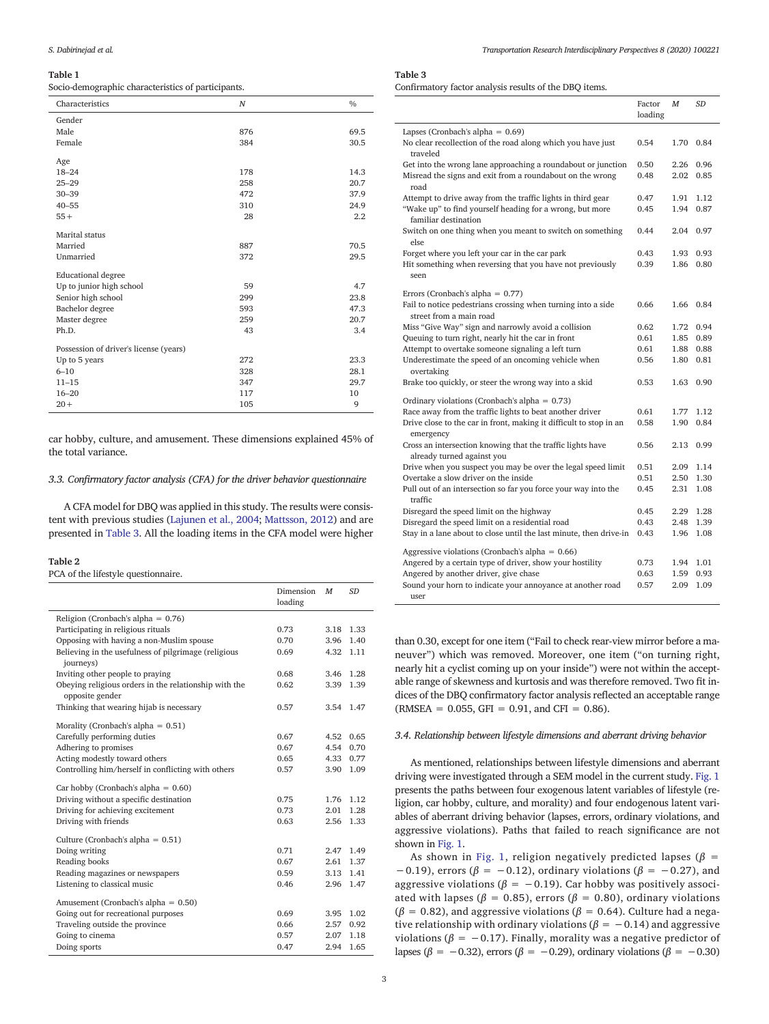#### <span id="page-2-0"></span>Table 1

Socio-demographic characteristics of participants.

| Characteristics                        | $\boldsymbol{N}$ | $\frac{0}{0}$ |
|----------------------------------------|------------------|---------------|
| Gender                                 |                  |               |
| Male                                   | 876              | 69.5          |
| Female                                 | 384              | 30.5          |
| Age                                    |                  |               |
| $18 - 24$                              | 178              | 14.3          |
| $25 - 29$                              | 258              | 20.7          |
| $30 - 39$                              | 472              | 37.9          |
| $40 - 55$                              | 310              | 24.9          |
| $55+$                                  | 28               | 2.2           |
|                                        |                  |               |
| Marital status                         |                  |               |
| Married                                | 887              | 70.5          |
| Unmarried                              | 372              | 29.5          |
| <b>Educational degree</b>              |                  |               |
| Up to junior high school               | 59               | 4.7           |
| Senior high school                     | 299              | 23.8          |
| Bachelor degree                        | 593              | 47.3          |
| Master degree                          | 259              | 20.7          |
| Ph.D.                                  | 43               | 3.4           |
| Possession of driver's license (years) |                  |               |
| Up to 5 years                          | 272              | 23.3          |
| $6 - 10$                               | 328              | 28.1          |
| $11 - 15$                              | 347              | 29.7          |
| $16 - 20$                              | 117              | 10            |
| $20 +$                                 | 105              | 9             |
|                                        |                  |               |

car hobby, culture, and amusement. These dimensions explained 45% of the total variance.

# 3.3. Confirmatory factor analysis (CFA) for the driver behavior questionnaire

A CFA model for DBQ was applied in this study. The results were consistent with previous studies [\(Lajunen et al., 2004;](#page-4-0) [Mattsson, 2012](#page-4-0)) and are presented in Table 3. All the loading items in the CFA model were higher

#### Table 2

PCA of the lifestyle questionnaire.

|                                                                          | Dimension<br>loading | M         | <b>SD</b> |
|--------------------------------------------------------------------------|----------------------|-----------|-----------|
| Religion (Cronbach's alpha = $0.76$ )                                    |                      |           |           |
| Participating in religious rituals                                       | 0.73                 |           | 3.18 1.33 |
| Opposing with having a non-Muslim spouse                                 | 0.70                 |           | 3.96 1.40 |
| Believing in the usefulness of pilgrimage (religious<br>journeys)        | 0.69                 | 4.32 1.11 |           |
| Inviting other people to praying                                         | 0.68                 |           | 3.46 1.28 |
| Obeying religious orders in the relationship with the<br>opposite gender | 0.62                 | 3.39      | 1.39      |
| Thinking that wearing hijab is necessary                                 | 0.57                 |           | 3.54 1.47 |
| Morality (Cronbach's alpha = $0.51$ )                                    |                      |           |           |
| Carefully performing duties                                              | 0.67                 | 4.52      | 0.65      |
| Adhering to promises                                                     | 0.67                 |           | 4.54 0.70 |
| Acting modestly toward others                                            | 0.65                 |           | 4.33 0.77 |
| Controlling him/herself in conflicting with others                       | 0.57                 |           | 3.90 1.09 |
| Car hobby (Cronbach's alpha = $0.60$ )                                   |                      |           |           |
| Driving without a specific destination                                   | 0.75                 |           | 1.76 1.12 |
| Driving for achieving excitement                                         | 0.73                 | 2.01      | 1.28      |
| Driving with friends                                                     | 0.63                 |           | 2.56 1.33 |
| Culture (Cronbach's alpha = $0.51$ )                                     |                      |           |           |
| Doing writing                                                            | 0.71                 |           | 2.47 1.49 |
| Reading books                                                            | 0.67                 | 2.61      | 1.37      |
| Reading magazines or newspapers                                          | 0.59                 |           | 3.13 1.41 |
| Listening to classical music                                             | 0.46                 |           | 2.96 1.47 |
| Amusement (Cronbach's alpha = $0.50$ )                                   |                      |           |           |
| Going out for recreational purposes                                      | 0.69                 | 3.95      | 1.02      |
| Traveling outside the province                                           | 0.66                 | 2.57      | 0.92      |
| Going to cinema                                                          | 0.57                 | 2.07      | 1.18      |
| Doing sports                                                             | 0.47                 | 2.94      | 1.65      |

# Table 3

Confirmatory factor analysis results of the DBQ items.

|                                                                                          | Factor<br>loading | M    | <b>SD</b> |
|------------------------------------------------------------------------------------------|-------------------|------|-----------|
| Lapses (Cronbach's alpha = $0.69$ )                                                      |                   |      |           |
| No clear recollection of the road along which you have just<br>traveled                  | 0.54              | 1.70 | 0.84      |
| Get into the wrong lane approaching a roundabout or junction                             | 0.50              | 2.26 | 0.96      |
| Misread the signs and exit from a roundabout on the wrong<br>road                        | 0.48              | 2.02 | 0.85      |
| Attempt to drive away from the traffic lights in third gear                              | 0.47              | 1.91 | 1.12      |
| "Wake up" to find yourself heading for a wrong, but more<br>familiar destination         | 0.45              | 1.94 | 0.87      |
| Switch on one thing when you meant to switch on something<br>else                        | 0.44              | 2.04 | 0.97      |
| Forget where you left your car in the car park                                           | 0.43              | 1.93 | 0.93      |
| Hit something when reversing that you have not previously                                | 0.39              | 1.86 | 0.80      |
| seen                                                                                     |                   |      |           |
| Errors (Cronbach's alpha = $0.77$ )                                                      |                   |      |           |
| Fail to notice pedestrians crossing when turning into a side<br>street from a main road  | 0.66              |      | 1.66 0.84 |
| Miss "Give Way" sign and narrowly avoid a collision                                      | 0.62              | 1.72 | 0.94      |
| Queuing to turn right, nearly hit the car in front                                       | 0.61              | 1.85 | 0.89      |
| Attempt to overtake someone signaling a left turn                                        | 0.61              | 1.88 | 0.88      |
| Underestimate the speed of an oncoming vehicle when<br>overtaking                        | 0.56              | 1.80 | 0.81      |
| Brake too quickly, or steer the wrong way into a skid                                    | 0.53              | 1.63 | 0.90      |
| Ordinary violations (Cronbach's alpha = $0.73$ )                                         |                   |      |           |
| Race away from the traffic lights to beat another driver                                 | 0.61              | 1.77 | 1.12      |
| Drive close to the car in front, making it difficult to stop in an<br>emergency          | 0.58              | 1.90 | 0.84      |
| Cross an intersection knowing that the traffic lights have<br>already turned against you | 0.56              | 2.13 | 0.99      |
| Drive when you suspect you may be over the legal speed limit                             | 0.51              | 2.09 | 1.14      |
| Overtake a slow driver on the inside                                                     | 0.51              | 2.50 | 1.30      |
| Pull out of an intersection so far you force your way into the<br>traffic                | 0.45              | 2.31 | 1.08      |
| Disregard the speed limit on the highway                                                 | 0.45              | 2.29 | 1.28      |
| Disregard the speed limit on a residential road                                          | 0.43              | 2.48 | 1.39      |
| Stay in a lane about to close until the last minute, then drive-in                       | 0.43              | 1.96 | 1.08      |
| Aggressive violations (Cronbach's alpha = $0.66$ )                                       |                   |      |           |
| Angered by a certain type of driver, show your hostility                                 | 0.73              | 1.94 | 1.01      |
| Angered by another driver, give chase                                                    | 0.63              | 1.59 | 0.93      |
| Sound your horn to indicate your annoyance at another road<br>user                       | 0.57              | 2.09 | 1.09      |

than 0.30, except for one item ("Fail to check rear-view mirror before a maneuver") which was removed. Moreover, one item ("on turning right, nearly hit a cyclist coming up on your inside") were not within the acceptable range of skewness and kurtosis and was therefore removed. Two fit indices of the DBQ confirmatory factor analysis reflected an acceptable range  $(RMSEA = 0.055, GFI = 0.91, and CFI = 0.86).$ 

#### 3.4. Relationship between lifestyle dimensions and aberrant driving behavior

As mentioned, relationships between lifestyle dimensions and aberrant driving were investigated through a SEM model in the current study. [Fig. 1](#page-3-0) presents the paths between four exogenous latent variables of lifestyle (religion, car hobby, culture, and morality) and four endogenous latent variables of aberrant driving behavior (lapses, errors, ordinary violations, and aggressive violations). Paths that failed to reach significance are not shown in [Fig. 1](#page-3-0).

As shown in [Fig. 1](#page-3-0), religion negatively predicted lapses ( $\beta$  =  $-0.19$ ), errors ( $\beta = -0.12$ ), ordinary violations ( $\beta = -0.27$ ), and aggressive violations ( $\beta = -0.19$ ). Car hobby was positively associated with lapses ( $\beta = 0.85$ ), errors ( $\beta = 0.80$ ), ordinary violations ( $\beta$  = 0.82), and aggressive violations ( $\beta$  = 0.64). Culture had a negative relationship with ordinary violations ( $\beta = -0.14$ ) and aggressive violations ( $\beta = -0.17$ ). Finally, morality was a negative predictor of lapses ( $\beta = -0.32$ ), errors ( $\beta = -0.29$ ), ordinary violations ( $\beta = -0.30$ )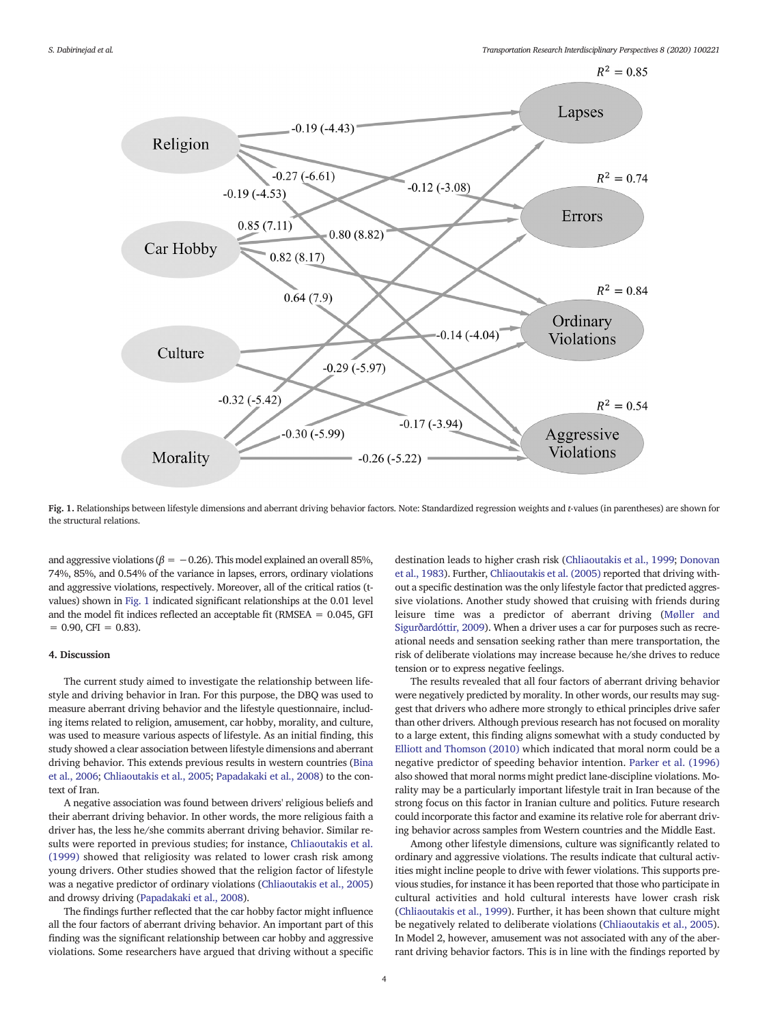<span id="page-3-0"></span>

Fig. 1. Relationships between lifestyle dimensions and aberrant driving behavior factors. Note: Standardized regression weights and t-values (in parentheses) are shown for the structural relations.

and aggressive violations ( $\beta = -0.26$ ). This model explained an overall 85%, 74%, 85%, and 0.54% of the variance in lapses, errors, ordinary violations and aggressive violations, respectively. Moreover, all of the critical ratios (tvalues) shown in Fig. 1 indicated significant relationships at the 0.01 level and the model fit indices reflected an acceptable fit (RMSEA = 0.045, GFI  $= 0.90$ , CFI  $= 0.83$ ).

# 4. Discussion

The current study aimed to investigate the relationship between lifestyle and driving behavior in Iran. For this purpose, the DBQ was used to measure aberrant driving behavior and the lifestyle questionnaire, including items related to religion, amusement, car hobby, morality, and culture, was used to measure various aspects of lifestyle. As an initial finding, this study showed a clear association between lifestyle dimensions and aberrant driving behavior. This extends previous results in western countries ([Bina](#page-4-0) [et al., 2006](#page-4-0); [Chliaoutakis et al., 2005](#page-4-0); [Papadakaki et al., 2008\)](#page-4-0) to the context of Iran.

A negative association was found between drivers' religious beliefs and their aberrant driving behavior. In other words, the more religious faith a driver has, the less he/she commits aberrant driving behavior. Similar results were reported in previous studies; for instance, [Chliaoutakis et al.](#page-4-0) [\(1999\)](#page-4-0) showed that religiosity was related to lower crash risk among young drivers. Other studies showed that the religion factor of lifestyle was a negative predictor of ordinary violations ([Chliaoutakis et al., 2005](#page-4-0)) and drowsy driving ([Papadakaki et al., 2008](#page-4-0)).

The findings further reflected that the car hobby factor might influence all the four factors of aberrant driving behavior. An important part of this finding was the significant relationship between car hobby and aggressive violations. Some researchers have argued that driving without a specific destination leads to higher crash risk [\(Chliaoutakis et al., 1999](#page-4-0); [Donovan](#page-4-0) [et al., 1983\)](#page-4-0). Further, [Chliaoutakis et al. \(2005\)](#page-4-0) reported that driving without a specific destination was the only lifestyle factor that predicted aggressive violations. Another study showed that cruising with friends during leisure time was a predictor of aberrant driving ([Møller and](#page-4-0) [Sigurðardóttir, 2009](#page-4-0)). When a driver uses a car for purposes such as recreational needs and sensation seeking rather than mere transportation, the risk of deliberate violations may increase because he/she drives to reduce tension or to express negative feelings.

The results revealed that all four factors of aberrant driving behavior were negatively predicted by morality. In other words, our results may suggest that drivers who adhere more strongly to ethical principles drive safer than other drivers. Although previous research has not focused on morality to a large extent, this finding aligns somewhat with a study conducted by [Elliott and Thomson \(2010\)](#page-4-0) which indicated that moral norm could be a negative predictor of speeding behavior intention. [Parker et al. \(1996\)](#page-4-0) also showed that moral norms might predict lane-discipline violations. Morality may be a particularly important lifestyle trait in Iran because of the strong focus on this factor in Iranian culture and politics. Future research could incorporate this factor and examine its relative role for aberrant driving behavior across samples from Western countries and the Middle East.

Among other lifestyle dimensions, culture was significantly related to ordinary and aggressive violations. The results indicate that cultural activities might incline people to drive with fewer violations. This supports previous studies, for instance it has been reported that those who participate in cultural activities and hold cultural interests have lower crash risk [\(Chliaoutakis et al., 1999](#page-4-0)). Further, it has been shown that culture might be negatively related to deliberate violations [\(Chliaoutakis et al., 2005\)](#page-4-0). In Model 2, however, amusement was not associated with any of the aberrant driving behavior factors. This is in line with the findings reported by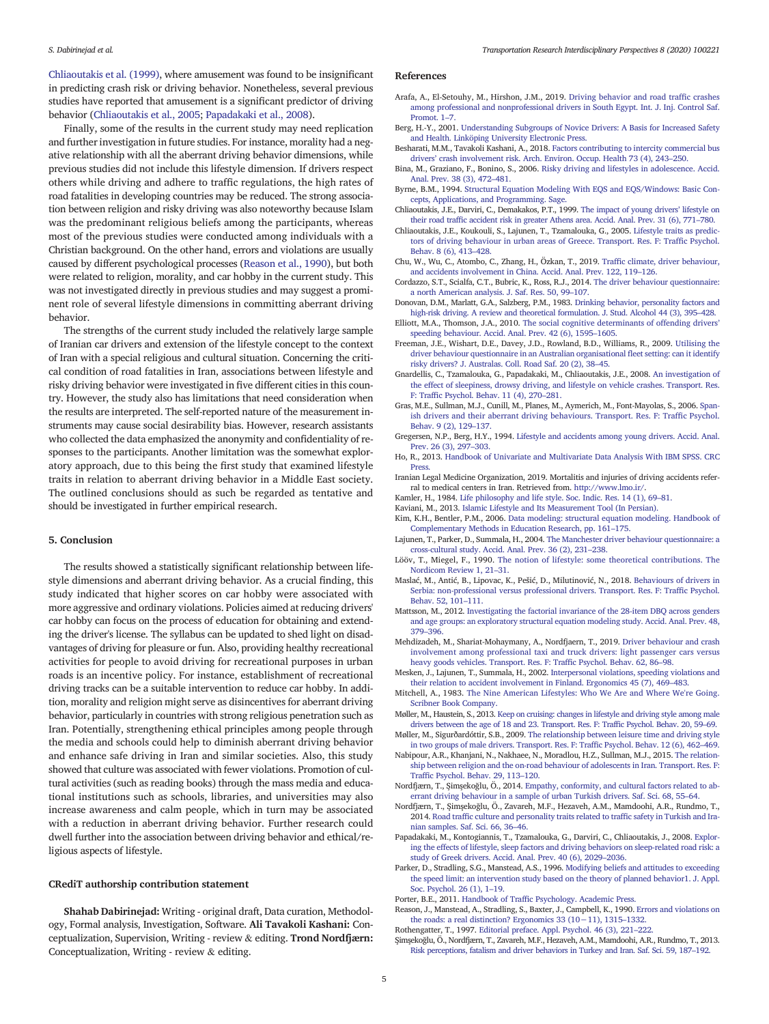<span id="page-4-0"></span>Chliaoutakis et al. (1999), where amusement was found to be insignificant in predicting crash risk or driving behavior. Nonetheless, several previous studies have reported that amusement is a significant predictor of driving behavior (Chliaoutakis et al., 2005; Papadakaki et al., 2008).

Finally, some of the results in the current study may need replication and further investigation in future studies. For instance, morality had a negative relationship with all the aberrant driving behavior dimensions, while previous studies did not include this lifestyle dimension. If drivers respect others while driving and adhere to traffic regulations, the high rates of road fatalities in developing countries may be reduced. The strong association between religion and risky driving was also noteworthy because Islam was the predominant religious beliefs among the participants, whereas most of the previous studies were conducted among individuals with a Christian background. On the other hand, errors and violations are usually caused by different psychological processes (Reason et al., 1990), but both were related to religion, morality, and car hobby in the current study. This was not investigated directly in previous studies and may suggest a prominent role of several lifestyle dimensions in committing aberrant driving behavior.

The strengths of the current study included the relatively large sample of Iranian car drivers and extension of the lifestyle concept to the context of Iran with a special religious and cultural situation. Concerning the critical condition of road fatalities in Iran, associations between lifestyle and risky driving behavior were investigated in five different cities in this country. However, the study also has limitations that need consideration when the results are interpreted. The self-reported nature of the measurement instruments may cause social desirability bias. However, research assistants who collected the data emphasized the anonymity and confidentiality of responses to the participants. Another limitation was the somewhat exploratory approach, due to this being the first study that examined lifestyle traits in relation to aberrant driving behavior in a Middle East society. The outlined conclusions should as such be regarded as tentative and should be investigated in further empirical research.

## 5. Conclusion

The results showed a statistically significant relationship between lifestyle dimensions and aberrant driving behavior. As a crucial finding, this study indicated that higher scores on car hobby were associated with more aggressive and ordinary violations. Policies aimed at reducing drivers' car hobby can focus on the process of education for obtaining and extending the driver's license. The syllabus can be updated to shed light on disadvantages of driving for pleasure or fun. Also, providing healthy recreational activities for people to avoid driving for recreational purposes in urban roads is an incentive policy. For instance, establishment of recreational driving tracks can be a suitable intervention to reduce car hobby. In addition, morality and religion might serve as disincentives for aberrant driving behavior, particularly in countries with strong religious penetration such as Iran. Potentially, strengthening ethical principles among people through the media and schools could help to diminish aberrant driving behavior and enhance safe driving in Iran and similar societies. Also, this study showed that culture was associated with fewer violations. Promotion of cultural activities (such as reading books) through the mass media and educational institutions such as schools, libraries, and universities may also increase awareness and calm people, which in turn may be associated with a reduction in aberrant driving behavior. Further research could dwell further into the association between driving behavior and ethical/religious aspects of lifestyle.

# CRediT authorship contribution statement

Shahab Dabirinejad: Writing - original draft, Data curation, Methodology, Formal analysis, Investigation, Software. Ali Tavakoli Kashani: Conceptualization, Supervision, Writing - review & editing. Trond Nordfjærn: Conceptualization, Writing - review & editing.

#### References

- Arafa, A., El-Setouhy, M., Hirshon, J.M., 2019. [Driving behavior and road traf](http://refhub.elsevier.com/S2590-1982(20)30132-9/rf0005)fic crashes [among professional and nonprofessional drivers in South Egypt. Int. J. Inj. Control Saf.](http://refhub.elsevier.com/S2590-1982(20)30132-9/rf0005) [Promot. 1](http://refhub.elsevier.com/S2590-1982(20)30132-9/rf0005)-7
- Berg, H.-Y., 2001. [Understanding Subgroups of Novice Drivers: A Basis for Increased Safety](http://refhub.elsevier.com/S2590-1982(20)30132-9/rf0010) [and Health. Linköping University Electronic Press](http://refhub.elsevier.com/S2590-1982(20)30132-9/rf0010).
- Besharati, M.M., Tavakoli Kashani, A., 2018. [Factors contributing to intercity commercial bus](http://refhub.elsevier.com/S2590-1982(20)30132-9/rf0015) drivers' [crash involvement risk. Arch. Environ. Occup. Health 73 \(4\), 243](http://refhub.elsevier.com/S2590-1982(20)30132-9/rf0015)–250.
- Bina, M., Graziano, F., Bonino, S., 2006. [Risky driving and lifestyles in adolescence. Accid.](http://refhub.elsevier.com/S2590-1982(20)30132-9/rf0020) [Anal. Prev. 38 \(3\), 472](http://refhub.elsevier.com/S2590-1982(20)30132-9/rf0020)–481.
- Byrne, B.M., 1994. [Structural Equation Modeling With EQS and EQS/Windows: Basic Con](http://refhub.elsevier.com/S2590-1982(20)30132-9/rf0025)[cepts, Applications, and Programming. Sage.](http://refhub.elsevier.com/S2590-1982(20)30132-9/rf0025)
- Chliaoutakis, J.E., Darviri, C., Demakakos, P.T., 1999. [The impact of young drivers](http://refhub.elsevier.com/S2590-1982(20)30132-9/rf0030)' lifestyle on their road traffi[c accident risk in greater Athens area. Accid. Anal. Prev. 31 \(6\), 771](http://refhub.elsevier.com/S2590-1982(20)30132-9/rf0030)–780.
- Chliaoutakis, J.E., Koukouli, S., Lajunen, T., Tzamalouka, G., 2005. [Lifestyle traits as predic](http://refhub.elsevier.com/S2590-1982(20)30132-9/rf0035)[tors of driving behaviour in urban areas of Greece. Transport. Res. F: Traf](http://refhub.elsevier.com/S2590-1982(20)30132-9/rf0035)fic Psychol. [Behav. 8 \(6\), 413](http://refhub.elsevier.com/S2590-1982(20)30132-9/rf0035)–428.
- Chu, W., Wu, C., Atombo, C., Zhang, H., Özkan, T., 2019. Traffi[c climate, driver behaviour,](http://refhub.elsevier.com/S2590-1982(20)30132-9/rf0040) [and accidents involvement in China. Accid. Anal. Prev. 122, 119](http://refhub.elsevier.com/S2590-1982(20)30132-9/rf0040)–126.
- Cordazzo, S.T., Scialfa, C.T., Bubric, K., Ross, R.J., 2014. [The driver behaviour questionnaire:](http://refhub.elsevier.com/S2590-1982(20)30132-9/rf0045) [a north American analysis. J. Saf. Res. 50, 99](http://refhub.elsevier.com/S2590-1982(20)30132-9/rf0045)–107.
- Donovan, D.M., Marlatt, G.A., Salzberg, P.M., 1983. [Drinking behavior, personality factors and](http://refhub.elsevier.com/S2590-1982(20)30132-9/rf0050) [high-risk driving. A review and theoretical formulation. J. Stud. Alcohol 44 \(3\), 395](http://refhub.elsevier.com/S2590-1982(20)30132-9/rf0050)–428.
- Elliott, M.A., Thomson, J.A., 2010. [The social cognitive determinants of offending drivers](http://refhub.elsevier.com/S2590-1982(20)30132-9/rf0055)' [speeding behaviour. Accid. Anal. Prev. 42 \(6\), 1595](http://refhub.elsevier.com/S2590-1982(20)30132-9/rf0055)–1605.
- Freeman, J.E., Wishart, D.E., Davey, J.D., Rowland, B.D., Williams, R., 2009. [Utilising the](http://refhub.elsevier.com/S2590-1982(20)30132-9/rf0060) [driver behaviour questionnaire in an Australian organisational](http://refhub.elsevier.com/S2590-1982(20)30132-9/rf0060) fleet setting: can it identify [risky drivers? J. Australas. Coll. Road Saf. 20 \(2\), 38](http://refhub.elsevier.com/S2590-1982(20)30132-9/rf0060)–45.
- Gnardellis, C., Tzamalouka, G., Papadakaki, M., Chliaoutakis, J.E., 2008. [An investigation of](http://refhub.elsevier.com/S2590-1982(20)30132-9/rf0065) [the effect of sleepiness, drowsy driving, and lifestyle on vehicle crashes. Transport. Res.](http://refhub.elsevier.com/S2590-1982(20)30132-9/rf0065) F: Traffi[c Psychol. Behav. 11 \(4\), 270](http://refhub.elsevier.com/S2590-1982(20)30132-9/rf0065)–281.
- Gras, M.E., Sullman, M.J., Cunill, M., Planes, M., Aymerich, M., Font-Mayolas, S., 2006. [Span](http://refhub.elsevier.com/S2590-1982(20)30132-9/rf0070)[ish drivers and their aberrant driving behaviours. Transport. Res. F: Traf](http://refhub.elsevier.com/S2590-1982(20)30132-9/rf0070)fic Psychol. [Behav. 9 \(2\), 129](http://refhub.elsevier.com/S2590-1982(20)30132-9/rf0070)–137.
- Gregersen, N.P., Berg, H.Y., 1994. [Lifestyle and accidents among young drivers. Accid. Anal.](http://refhub.elsevier.com/S2590-1982(20)30132-9/rf0075) [Prev. 26 \(3\), 297](http://refhub.elsevier.com/S2590-1982(20)30132-9/rf0075)–303.
- Ho, R., 2013. [Handbook of Univariate and Multivariate Data Analysis With IBM SPSS. CRC](http://refhub.elsevier.com/S2590-1982(20)30132-9/rf0080) Press
- Iranian Legal Medicine Organization, 2019. Mortalitis and injuries of driving accidents referral to medical centers in Iran. Retrieved from. <http://www.lmo.ir/>.
- Kamler, H., 1984. [Life philosophy and life style. Soc. Indic. Res. 14 \(1\), 69](http://refhub.elsevier.com/S2590-1982(20)30132-9/rf0090)–81.
- Kaviani, M., 2013. [Islamic Lifestyle and Its Measurement Tool \(In Persian\).](http://refhub.elsevier.com/S2590-1982(20)30132-9/rf0095) Kim, K.H., Bentler, P.M., 2006. [Data modeling: structural equation modeling. Handbook of](http://refhub.elsevier.com/S2590-1982(20)30132-9/rf0100)
- [Complementary Methods in Education Research, pp. 161](http://refhub.elsevier.com/S2590-1982(20)30132-9/rf0100)–175. Lajunen, T., Parker, D., Summala, H., 2004. [The Manchester driver behaviour questionnaire: a](http://refhub.elsevier.com/S2590-1982(20)30132-9/rf0105) [cross-cultural study. Accid. Anal. Prev. 36 \(2\), 231](http://refhub.elsevier.com/S2590-1982(20)30132-9/rf0105)–238.
- Lööv, T., Miegel, F., 1990. [The notion of lifestyle: some theoretical contributions. The](http://refhub.elsevier.com/S2590-1982(20)30132-9/rf0110) [Nordicom Review 1, 21](http://refhub.elsevier.com/S2590-1982(20)30132-9/rf0110)–31.
- Maslać, M., Antić, B., Lipovac, K., Pešić, D., Milutinović, N., 2018. [Behaviours of drivers in](http://refhub.elsevier.com/S2590-1982(20)30132-9/rf0115) [Serbia: non-professional versus professional drivers. Transport. Res. F: Traf](http://refhub.elsevier.com/S2590-1982(20)30132-9/rf0115)fic Psychol. [Behav. 52, 101](http://refhub.elsevier.com/S2590-1982(20)30132-9/rf0115)–111.
- Mattsson, M., 2012. [Investigating the factorial invariance of the 28-item DBQ across genders](http://refhub.elsevier.com/S2590-1982(20)30132-9/rf0120) [and age groups: an exploratory structural equation modeling study. Accid. Anal. Prev. 48,](http://refhub.elsevier.com/S2590-1982(20)30132-9/rf0120) [379](http://refhub.elsevier.com/S2590-1982(20)30132-9/rf0120)–396.
- Mehdizadeh, M., Shariat-Mohaymany, A., Nordfjaern, T., 2019. [Driver behaviour and crash](http://refhub.elsevier.com/S2590-1982(20)30132-9/rf0125) [involvement among professional taxi and truck drivers: light passenger cars versus](http://refhub.elsevier.com/S2590-1982(20)30132-9/rf0125) [heavy goods vehicles. Transport. Res. F: Traf](http://refhub.elsevier.com/S2590-1982(20)30132-9/rf0125)fic Psychol. Behav. 62, 86–98.
- Mesken, J., Lajunen, T., Summala, H., 2002. [Interpersonal violations, speeding violations and](http://refhub.elsevier.com/S2590-1982(20)30132-9/rf0130) [their relation to accident involvement in Finland. Ergonomics 45 \(7\), 469](http://refhub.elsevier.com/S2590-1982(20)30132-9/rf0130)–483.
- Mitchell, A., 1983. [The Nine American Lifestyles: Who We Are and Where We're Going.](http://refhub.elsevier.com/S2590-1982(20)30132-9/rf0135) [Scribner Book Company](http://refhub.elsevier.com/S2590-1982(20)30132-9/rf0135).
- Møller, M., Haustein, S., 2013. [Keep on cruising: changes in lifestyle and driving style among male](http://refhub.elsevier.com/S2590-1982(20)30132-9/rf0140) [drivers between the age of 18 and 23. Transport. Res. F: Traf](http://refhub.elsevier.com/S2590-1982(20)30132-9/rf0140)fic Psychol. Behav. 20, 59–69. Møller, M., Sigurðardóttir, S.B., 2009. [The relationship between leisure time and driving style](http://refhub.elsevier.com/S2590-1982(20)30132-9/rf0145)
- [in two groups of male drivers. Transport. Res. F: Traf](http://refhub.elsevier.com/S2590-1982(20)30132-9/rf0145)fic Psychol. Behav. 12 (6), 462–469. Nabipour, A.R., Khanjani, N., Nakhaee, N., Moradlou, H.Z., Sullman, M.J., 2015. [The relation-](http://refhub.elsevier.com/S2590-1982(20)30132-9/rf0150)
- [ship between religion and the on-road behaviour of adolescents in Iran. Transport. Res. F:](http://refhub.elsevier.com/S2590-1982(20)30132-9/rf0150) Traffi[c Psychol. Behav. 29, 113](http://refhub.elsevier.com/S2590-1982(20)30132-9/rf0150)–120.
- Nordfjærn, T., Şimşekoğlu, Ö., 2014. [Empathy, conformity, and cultural factors related to ab](http://refhub.elsevier.com/S2590-1982(20)30132-9/rf0155)[errant driving behaviour in a sample of urban Turkish drivers. Saf. Sci. 68, 55](http://refhub.elsevier.com/S2590-1982(20)30132-9/rf0155)–64.
- Nordfjærn, T., Şimşekoğlu, Ö., Zavareh, M.F., Hezaveh, A.M., Mamdoohi, A.R., Rundmo, T., 2014. Road traffi[c culture and personality traits related to traf](http://refhub.elsevier.com/S2590-1982(20)30132-9/rf0160)fic safety in Turkish and Ira[nian samples. Saf. Sci. 66, 36](http://refhub.elsevier.com/S2590-1982(20)30132-9/rf0160)–46.
- Papadakaki, M., Kontogiannis, T., Tzamalouka, G., Darviri, C., Chliaoutakis, J., 2008. [Explor](http://refhub.elsevier.com/S2590-1982(20)30132-9/rf0165)[ing the effects of lifestyle, sleep factors and driving behaviors on sleep-related road risk: a](http://refhub.elsevier.com/S2590-1982(20)30132-9/rf0165) [study of Greek drivers. Accid. Anal. Prev. 40 \(6\), 2029](http://refhub.elsevier.com/S2590-1982(20)30132-9/rf0165)–2036.
- Parker, D., Stradling, S.G., Manstead, A.S., 1996. [Modifying beliefs and attitudes to exceeding](http://refhub.elsevier.com/S2590-1982(20)30132-9/rf0170) [the speed limit: an intervention study based on the theory of planned behavior1. J. Appl.](http://refhub.elsevier.com/S2590-1982(20)30132-9/rf0170) [Soc. Psychol. 26 \(1\), 1](http://refhub.elsevier.com/S2590-1982(20)30132-9/rf0170)–19.
- Porter, B.E., 2011. Handbook of Traffi[c Psychology. Academic Press](http://refhub.elsevier.com/S2590-1982(20)30132-9/rf0175).
- Reason, J., Manstead, A., Stradling, S., Baxter, J., Campbell, K., 1990. [Errors and violations on](http://refhub.elsevier.com/S2590-1982(20)30132-9/rf0180) [the roads: a real distinction? Ergonomics 33 \(10](http://refhub.elsevier.com/S2590-1982(20)30132-9/rf0180)−11), 1315–1332.
- Rothengatter, T., 1997. [Editorial preface. Appl. Psychol. 46 \(3\), 221](http://refhub.elsevier.com/S2590-1982(20)30132-9/rf0185)–222.
- Şimşekoğlu, Ö., Nordfjærn, T., Zavareh, M.F., Hezaveh, A.M., Mamdoohi, A.R., Rundmo, T., 2013. [Risk perceptions, fatalism and driver behaviors in Turkey and Iran. Saf. Sci. 59, 187](http://refhub.elsevier.com/S2590-1982(20)30132-9/rf0190)–192.